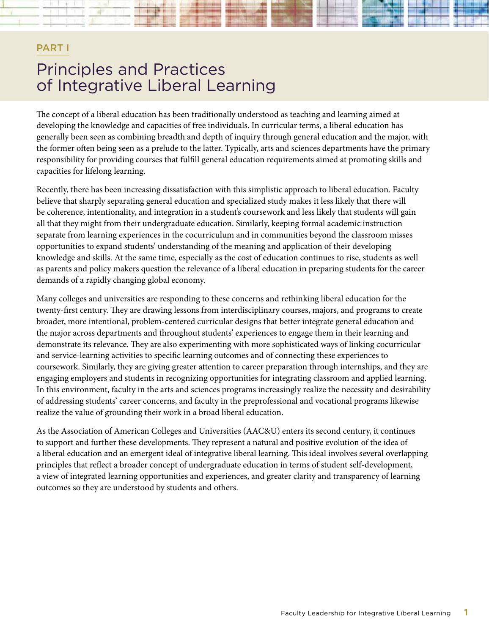# PART I Principles and Practices of Integrative Liberal Learning

The concept of a liberal education has been traditionally understood as teaching and learning aimed at developing the knowledge and capacities of free individuals. In curricular terms, a liberal education has generally been seen as combining breadth and depth of inquiry through general education and the major, with the former often being seen as a prelude to the latter. Typically, arts and sciences departments have the primary responsibility for providing courses that fulfill general education requirements aimed at promoting skills and capacities for lifelong learning.

Recently, there has been increasing dissatisfaction with this simplistic approach to liberal education. Faculty believe that sharply separating general education and specialized study makes it less likely that there will be coherence, intentionality, and integration in a student's coursework and less likely that students will gain all that they might from their undergraduate education. Similarly, keeping formal academic instruction separate from learning experiences in the cocurriculum and in communities beyond the classroom misses opportunities to expand students' understanding of the meaning and application of their developing knowledge and skills. At the same time, especially as the cost of education continues to rise, students as well as parents and policy makers question the relevance of a liberal education in preparing students for the career demands of a rapidly changing global economy.

Many colleges and universities are responding to these concerns and rethinking liberal education for the twenty-first century. They are drawing lessons from interdisciplinary courses, majors, and programs to create broader, more intentional, problem-centered curricular designs that better integrate general education and the major across departments and throughout students' experiences to engage them in their learning and demonstrate its relevance. They are also experimenting with more sophisticated ways of linking cocurricular and service-learning activities to specific learning outcomes and of connecting these experiences to coursework. Similarly, they are giving greater attention to career preparation through internships, and they are engaging employers and students in recognizing opportunities for integrating classroom and applied learning. In this environment, faculty in the arts and sciences programs increasingly realize the necessity and desirability of addressing students' career concerns, and faculty in the preprofessional and vocational programs likewise realize the value of grounding their work in a broad liberal education.

As the Association of American Colleges and Universities (AAC&U) enters its second century, it continues to support and further these developments. They represent a natural and positive evolution of the idea of a liberal education and an emergent ideal of integrative liberal learning. This ideal involves several overlapping principles that reflect a broader concept of undergraduate education in terms of student self-development, a view of integrated learning opportunities and experiences, and greater clarity and transparency of learning outcomes so they are understood by students and others.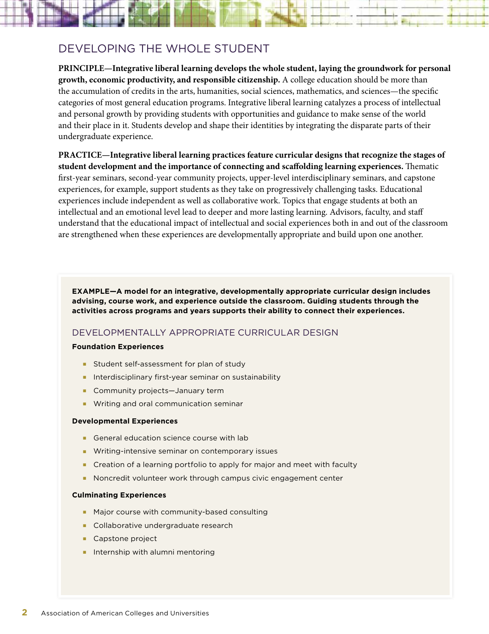

# DEVELOPING THE WHOLE STUDENT

**PRINCIPLE—Integrative liberal learning develops the whole student, laying the groundwork for personal growth, economic productivity, and responsible citizenship.** A college education should be more than the accumulation of credits in the arts, humanities, social sciences, mathematics, and sciences—the specific categories of most general education programs. Integrative liberal learning catalyzes a process of intellectual and personal growth by providing students with opportunities and guidance to make sense of the world and their place in it. Students develop and shape their identities by integrating the disparate parts of their undergraduate experience.

**PRACTICE—Integrative liberal learning practices feature curricular designs that recognize the stages of student development and the importance of connecting and scaffolding learning experiences.** Thematic first-year seminars, second-year community projects, upper-level interdisciplinary seminars, and capstone experiences, for example, support students as they take on progressively challenging tasks. Educational experiences include independent as well as collaborative work. Topics that engage students at both an intellectual and an emotional level lead to deeper and more lasting learning. Advisors, faculty, and staff understand that the educational impact of intellectual and social experiences both in and out of the classroom are strengthened when these experiences are developmentally appropriate and build upon one another.

**EXAMPLE—A model for an integrative, developmentally appropriate curricular design includes advising, course work, and experience outside the classroom. Guiding students through the activities across programs and years supports their ability to connect their experiences.**

### DEVELOPMENTALLY APPROPRIATE CURRICULAR DESIGN

#### **Foundation Experiences**

- **EXTER Student self-assessment for plan of study**
- n Interdisciplinary first-year seminar on sustainability
- **E** Community projects—January term
- $\blacksquare$  Writing and oral communication seminar

#### **Developmental Experiences**

- General education science course with lab
- **Nitting-intensive seminar on contemporary issues**
- **n** Creation of a learning portfolio to apply for major and meet with faculty
- <sup>n</sup> Noncredit volunteer work through campus civic engagement center

#### **Culminating Experiences**

- Major course with community-based consulting
- **Collaborative undergraduate research**
- **Capstone project**
- $\blacksquare$  Internship with alumni mentoring